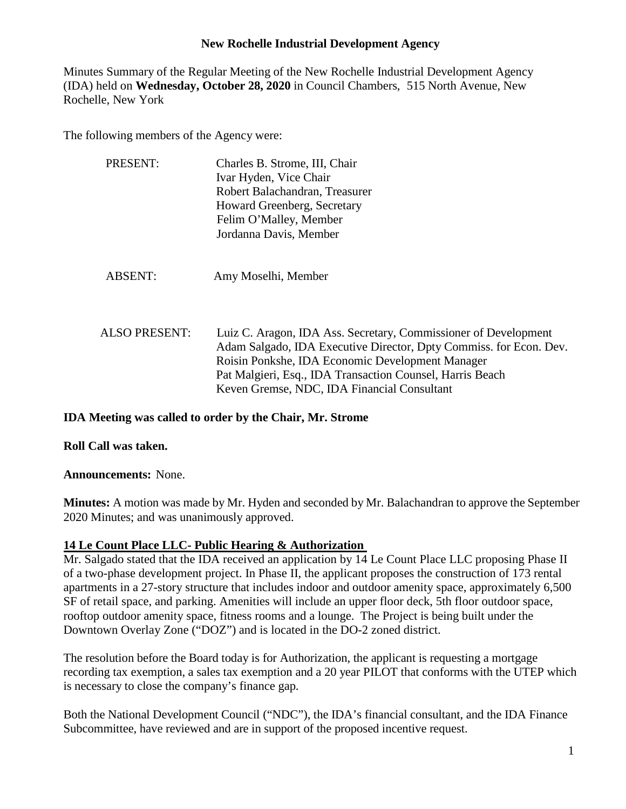Minutes Summary of the Regular Meeting of the New Rochelle Industrial Development Agency (IDA) held on **Wednesday, October 28, 2020** in Council Chambers, 515 North Avenue, New Rochelle, New York

The following members of the Agency were:

| <b>PRESENT:</b>      | Charles B. Strome, III, Chair<br>Ivar Hyden, Vice Chair<br>Robert Balachandran, Treasurer<br>Howard Greenberg, Secretary<br>Felim O'Malley, Member<br>Jordanna Davis, Member                                                                                                                          |
|----------------------|-------------------------------------------------------------------------------------------------------------------------------------------------------------------------------------------------------------------------------------------------------------------------------------------------------|
| <b>ABSENT:</b>       | Amy Moselhi, Member                                                                                                                                                                                                                                                                                   |
| <b>ALSO PRESENT:</b> | Luiz C. Aragon, IDA Ass. Secretary, Commissioner of Development<br>Adam Salgado, IDA Executive Director, Dpty Commiss. for Econ. Dev.<br>Roisin Ponkshe, IDA Economic Development Manager<br>Pat Malgieri, Esq., IDA Transaction Counsel, Harris Beach<br>Keven Gremse, NDC, IDA Financial Consultant |

#### **IDA Meeting was called to order by the Chair, Mr. Strome**

**Roll Call was taken.**

**Announcements:** None.

**Minutes:** A motion was made by Mr. Hyden and seconded by Mr. Balachandran to approve the September 2020 Minutes; and was unanimously approved.

### **14 Le Count Place LLC- Public Hearing & Authorization**

Mr. Salgado stated that the IDA received an application by 14 Le Count Place LLC proposing Phase II of a two-phase development project. In Phase II, the applicant proposes the construction of 173 rental apartments in a 27-story structure that includes indoor and outdoor amenity space, approximately 6,500 SF of retail space, and parking. Amenities will include an upper floor deck, 5th floor outdoor space, rooftop outdoor amenity space, fitness rooms and a lounge. The Project is being built under the Downtown Overlay Zone ("DOZ") and is located in the DO-2 zoned district.

The resolution before the Board today is for Authorization, the applicant is requesting a mortgage recording tax exemption, a sales tax exemption and a 20 year PILOT that conforms with the UTEP which is necessary to close the company's finance gap.

Both the National Development Council ("NDC"), the IDA's financial consultant, and the IDA Finance Subcommittee, have reviewed and are in support of the proposed incentive request.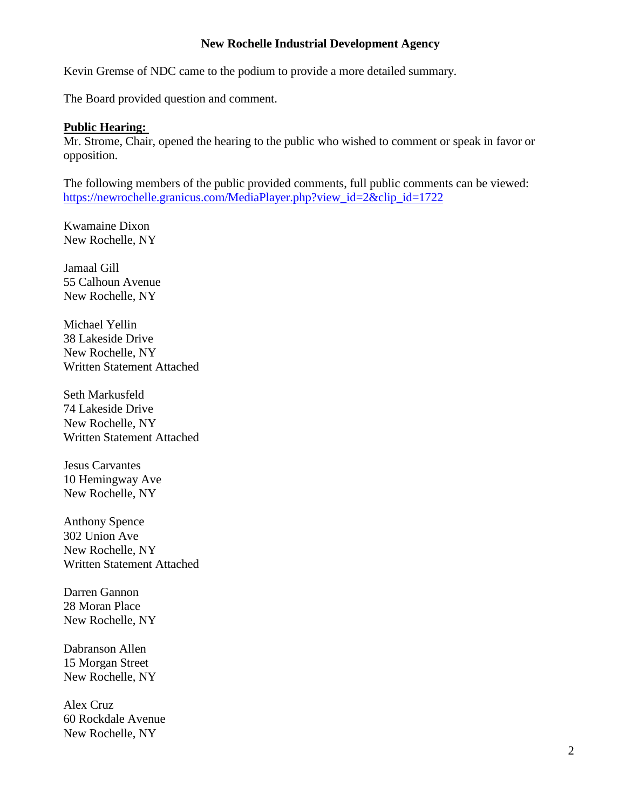Kevin Gremse of NDC came to the podium to provide a more detailed summary.

The Board provided question and comment.

#### **Public Hearing:**

Mr. Strome, Chair, opened the hearing to the public who wished to comment or speak in favor or opposition.

The following members of the public provided comments, full public comments can be viewed: [https://newrochelle.granicus.com/MediaPlayer.php?view\\_id=2&clip\\_id=1722](https://newrochelle.granicus.com/MediaPlayer.php?view_id=2&clip_id=1722)

Kwamaine Dixon New Rochelle, NY

Jamaal Gill 55 Calhoun Avenue New Rochelle, NY

Michael Yellin 38 Lakeside Drive New Rochelle, NY Written Statement Attached

Seth Markusfeld 74 Lakeside Drive New Rochelle, NY Written Statement Attached

Jesus Carvantes 10 Hemingway Ave New Rochelle, NY

Anthony Spence 302 Union Ave New Rochelle, NY Written Statement Attached

Darren Gannon 28 Moran Place New Rochelle, NY

Dabranson Allen 15 Morgan Street New Rochelle, NY

Alex Cruz 60 Rockdale Avenue New Rochelle, NY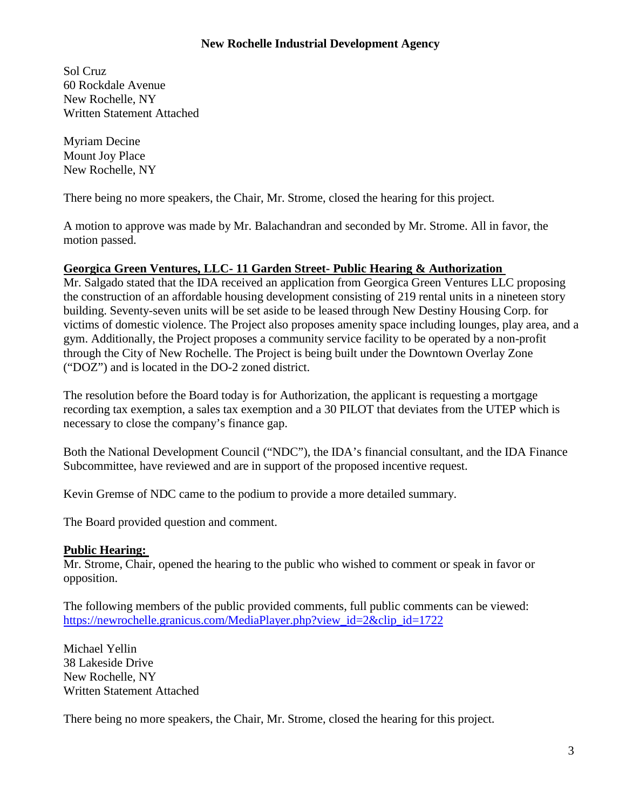Sol Cruz 60 Rockdale Avenue New Rochelle, NY Written Statement Attached

Myriam Decine Mount Joy Place New Rochelle, NY

There being no more speakers, the Chair, Mr. Strome, closed the hearing for this project.

A motion to approve was made by Mr. Balachandran and seconded by Mr. Strome. All in favor, the motion passed.

#### **Georgica Green Ventures, LLC- 11 Garden Street- Public Hearing & Authorization**

Mr. Salgado stated that the IDA received an application from Georgica Green Ventures LLC proposing the construction of an affordable housing development consisting of 219 rental units in a nineteen story building. Seventy-seven units will be set aside to be leased through New Destiny Housing Corp. for victims of domestic violence. The Project also proposes amenity space including lounges, play area, and a gym. Additionally, the Project proposes a community service facility to be operated by a non-profit through the City of New Rochelle. The Project is being built under the Downtown Overlay Zone ("DOZ") and is located in the DO-2 zoned district.

The resolution before the Board today is for Authorization, the applicant is requesting a mortgage recording tax exemption, a sales tax exemption and a 30 PILOT that deviates from the UTEP which is necessary to close the company's finance gap.

Both the National Development Council ("NDC"), the IDA's financial consultant, and the IDA Finance Subcommittee, have reviewed and are in support of the proposed incentive request.

Kevin Gremse of NDC came to the podium to provide a more detailed summary.

The Board provided question and comment.

### **Public Hearing:**

Mr. Strome, Chair, opened the hearing to the public who wished to comment or speak in favor or opposition.

The following members of the public provided comments, full public comments can be viewed: [https://newrochelle.granicus.com/MediaPlayer.php?view\\_id=2&clip\\_id=1722](https://newrochelle.granicus.com/MediaPlayer.php?view_id=2&clip_id=1722)

Michael Yellin 38 Lakeside Drive New Rochelle, NY Written Statement Attached

There being no more speakers, the Chair, Mr. Strome, closed the hearing for this project.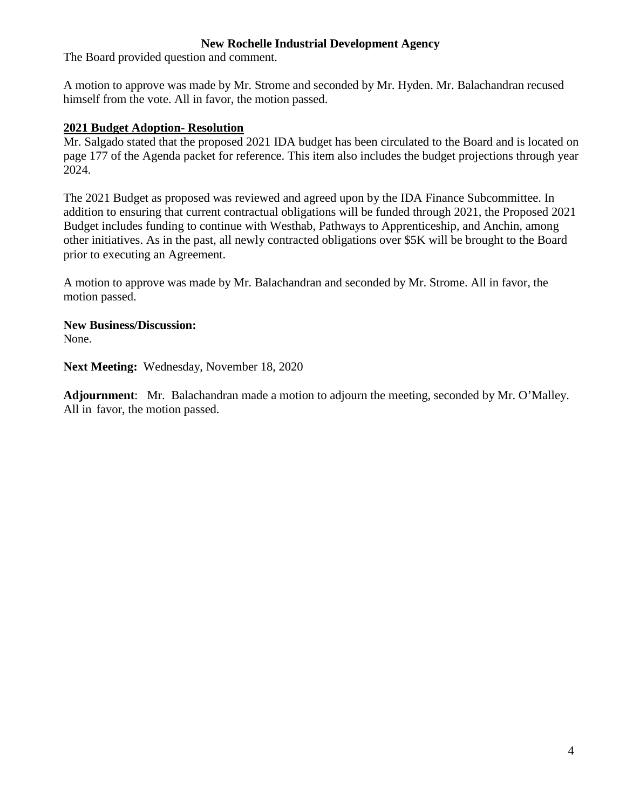The Board provided question and comment.

A motion to approve was made by Mr. Strome and seconded by Mr. Hyden. Mr. Balachandran recused himself from the vote. All in favor, the motion passed.

#### **2021 Budget Adoption- Resolution**

Mr. Salgado stated that the proposed 2021 IDA budget has been circulated to the Board and is located on page 177 of the Agenda packet for reference. This item also includes the budget projections through year 2024.

The 2021 Budget as proposed was reviewed and agreed upon by the IDA Finance Subcommittee. In addition to ensuring that current contractual obligations will be funded through 2021, the Proposed 2021 Budget includes funding to continue with Westhab, Pathways to Apprenticeship, and Anchin, among other initiatives. As in the past, all newly contracted obligations over \$5K will be brought to the Board prior to executing an Agreement.

A motion to approve was made by Mr. Balachandran and seconded by Mr. Strome. All in favor, the motion passed.

**New Business/Discussion:** None.

**Next Meeting:** Wednesday, November 18, 2020

**Adjournment**: Mr. Balachandran made a motion to adjourn the meeting, seconded by Mr. O'Malley. All in favor, the motion passed.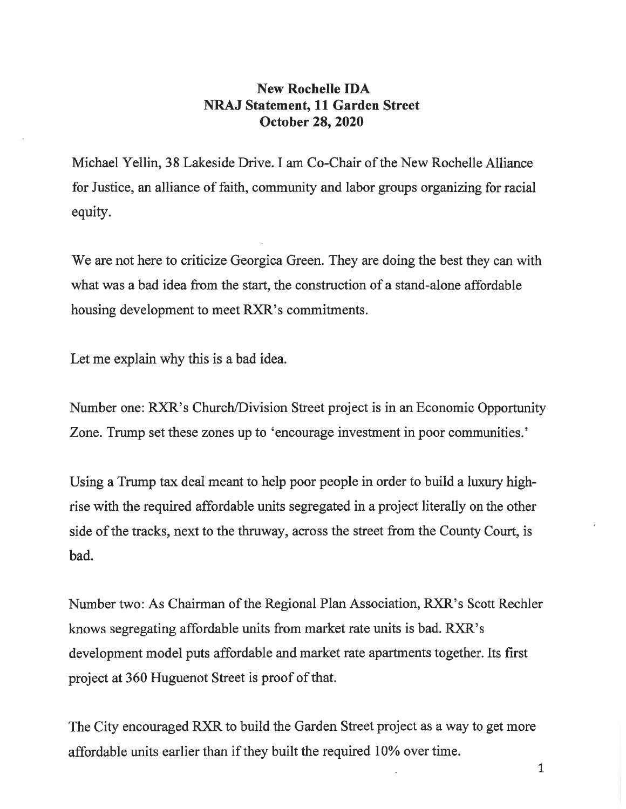### New Rochelle IDA NRAJ Statement, 11 Garden Street October 28, 2020

Michael Yellin, 38 Lakeside Drive. I am Co-Chair of the New Rochelle Alliance for Justice, an alliance of faith, community and labor groups organizing for racial equity.

We are not here to criticize Georgica Green. They are doing the best they can with what was a bad idea from the start, the construction of a stand-alone affordable housing development to meet RXR's commitments.

Let me explain why this is a bad idea.

Number one: RXR's Church/Division Street project is in an Economic Opportunity Zone. Trump set these zones up to 'encourage investment in poor communities.'

Using a Trump tax deal meant to help poor people in order to build a luxury highrise with the required affordable units segregated in a project literally on the other side of the tracks, next to the thruway, across the street from the County Court, is bad.

Number two: As Chairman of the Regional Plan Association, RXR's Scott Rechler knows segregating affordable units from market rate units is bad. RXR's development model puts affordable and market rate apartments together. Its first project at 360 Huguenot Street is proof of that.

The City encouraged RXR to build the Garden Street project as a way to get more affordable units earlier than if they built the required 10% over time.

 $\mathbf{1}$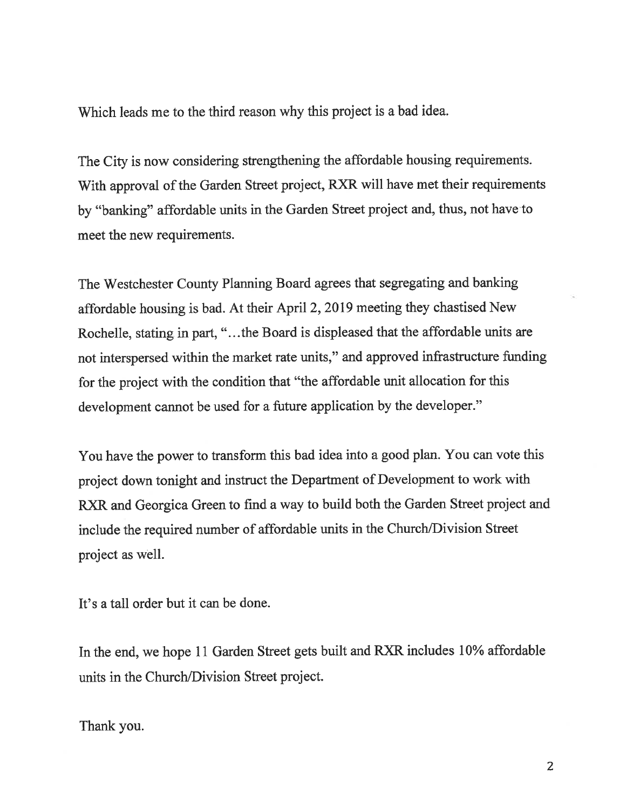Which leads me to the third reason why this project is a bad idea.

The City is now considering strengthening the affordable housing requirements. With approval of the Garden Street project, RXR will have met their requirements by "banking" affordable units in the Garden Street project and, thus, not have to meet the new requirements.

The Westchester County Planning Board agrees that segregating and banking affordable housing is bad. At their April 2, 2019 meeting they chastised New Rochelle, stating in part, ".. .the Board is displeased that the affordable units are not interspersed within the market rate units," and approved infrastructure funding for the project with the condition that "the affordable unit allocation for this development cannot be used for a future application by the developer."

You have the power to transform this bad idea into a good plan. You can vote this project down tonight and instruct the Department of Development to work with RXR and Georgica Green to find a way to build both the Garden Street project and include the required number of affordable units in the Church/Division Street project as well.

It's a tall order but it can be done.

In the end, we hope 11 Garden Street gets built and RXR includes 10% affordable units in the Church/Division Street project.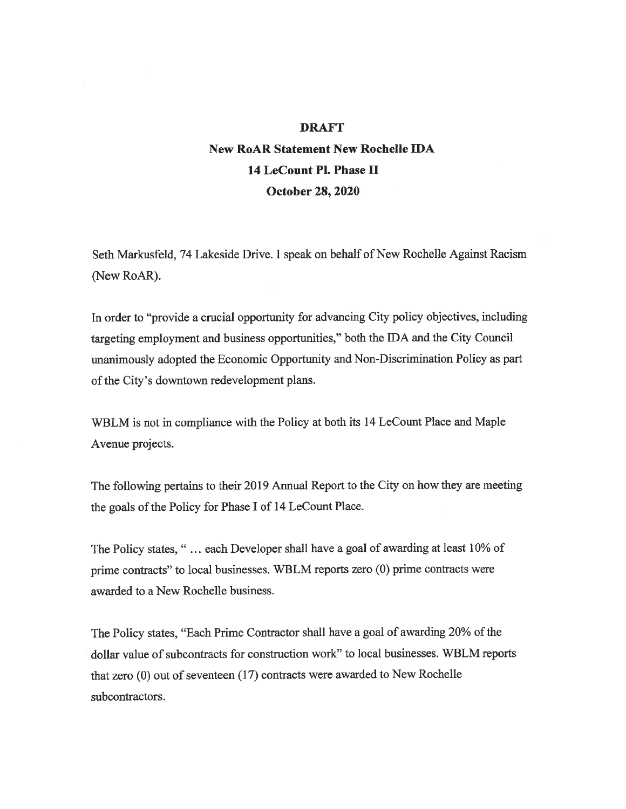#### DRAFT

### New RoAR Statement New RocheIIe IDA 14 LeCount Pl. Phase H October 28, 2020

Seth Markusfeld, 74 Lakeside Drive. I speak on behalf of New Rochelle Against Racism (New RoAR).

In order to "provide a crucial opportunity for advancing City policy objectives, including targeting employment and business opportunities, " both the IDA and the City Council unanimously adopted the Economic Opportunity and Non-Discrimination Policy as part of the City's downtown redevelopment plans.

WBLM is not in compliance with the Policy at both its 14 LeCount Place and Maple Avenue projects.

The following pertains to their 2019 Annual Report to the City on how they are meeting the goals of the Policy for Phase I of 14 LeCount Place.

The Policy states, "... each Developer shall have a goal of awarding at least 10% of prime contracts" to local businesses. WBLM reports zero (0) prime contracts were awarded to a New Rochelle business.

The Policy states, "Each Prime Contractor shall have a goal of awarding 20% of the dollar value of subcontracts for construction work" to local businesses. WBLM reports that zero  $(0)$  out of seventeen  $(17)$  contracts were awarded to New Rochelle subcontractors.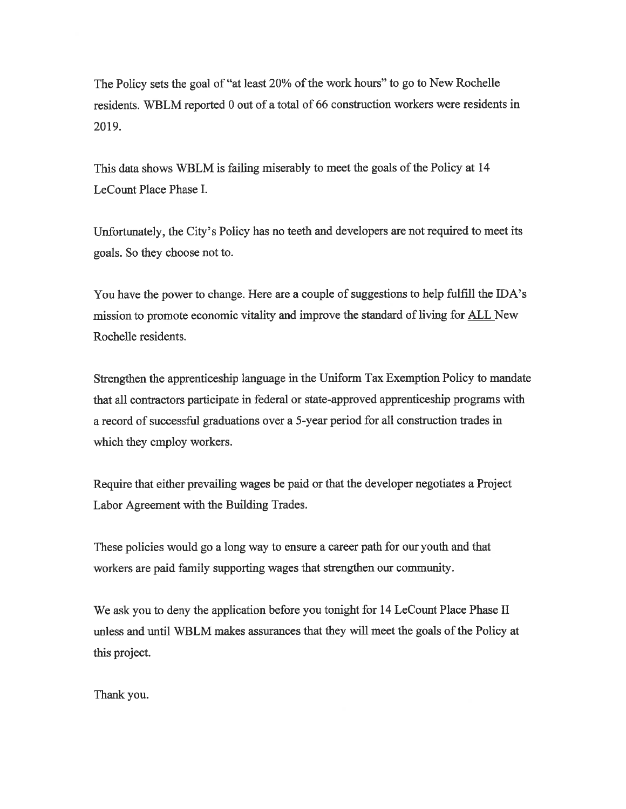The Policy sets the goal of "at least 20% of the work hours" to go to New Rochelle residents. WBLM reported 0 out of a total of 66 construction workers were residents in 2019.

This data shows WBLM is failing miserably to meet the goals of the Policy at 14 LeCount Place Phase I.

Unfortunately, the City's Policy has no teeth and developers are not required to meet its goals. So they choose not to.

You have the power to change. Here are a couple of suggestions to help fulfill the IDA'S mission to promote economic vitality and improve the standard of living for ALL New Rochelle residents.

Strengthen the apprenticeship language in the Uniform Tax Exemption Policy to mandate that all contractors participate in federal or state-approved apprenticeship programs with a record of successful graduations over a 5-year period for all construction trades in which they employ workers.

Require that either prevailing wages be paid or that the developer negotiates a Project Labor Agreement with the Building Trades.

These policies would go a long way to ensure a career path for our youth and that workers are paid family supporting wages that strengthen our community.

We ask you to deny the application before you tonight for 14 LeCount Place Phase II unless and until WBLM makes assurances that they will meet the goals of the Policy at this project.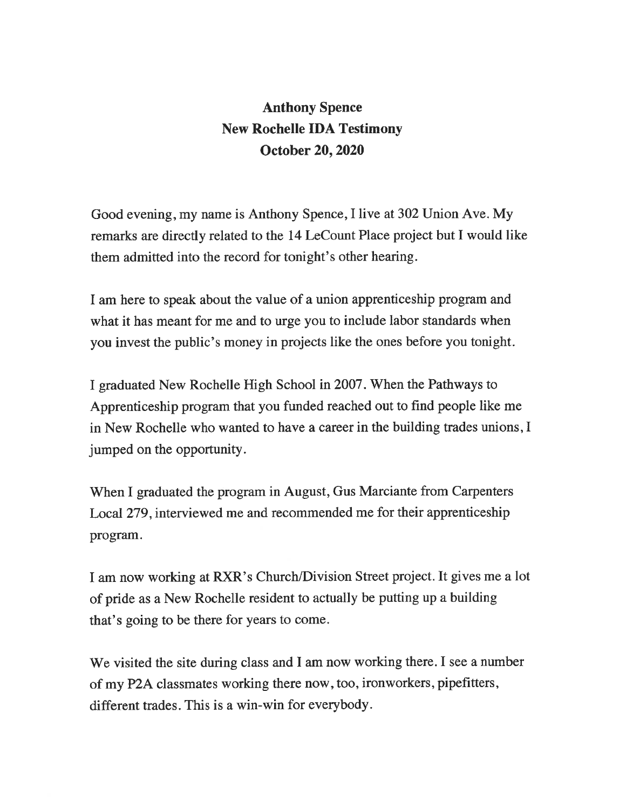## Anthony Spence New Rochelle IDA Testimony October 20, 2020

Good evening, my name is Anthony Spence, I live at 302 Union Ave. My remarks are directly related to the 14 LeCount Place project but I would like them admitted into the record for tonight's other hearing.

I am here to speak about the value of a union apprenticeship program and what it has meant for me and to urge you to include labor standards when you invest the public's money in projects like the ones before you tonight.

I graduated New Rochelle High School in 2007. When the Pathways to Apprenticeship program that you funded reached out to find people like me in New Rochelle who wanted to have a career in the building trades unions, I jumped on the opportunity.

When I graduated the program in August, Gus Marciante from Carpenters Local 279, interviewed me and recommended me for their apprenticeship program.

I am now working at RXR's Church/Division Street project. It gives me a lot of pride as a New Rochelle resident to actually be putting up a building that's going to be there for years to come.

We visited the site during class and I am now working there. I see a number of my P2A classmates working there now, too, ironworkers, pipefitters, different trades. This is a win-win for everybody.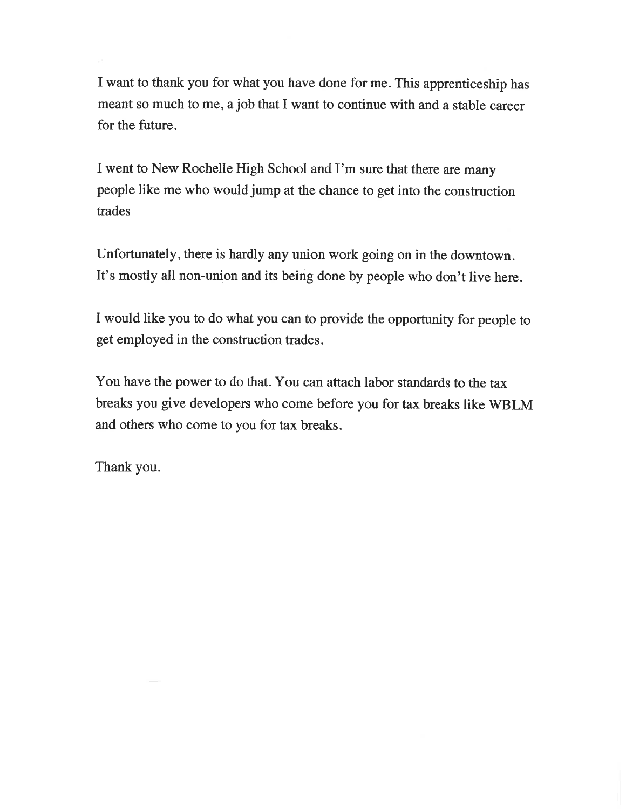I want to thank you for what you have done for me. This apprenticeship has meant so much to me, a job that I want to continue with and a stable career for the future.

I went to New Rochelle High School and I'm sure that there are many people like me who would jump at the chance to get into the constmction trades

Unfortunately, there is hardly any union work going on in the downtown. It's mostly all non-union and its being done by people who don't live here.

I would like you to do what you can to provide the opportunity for people to get employed in the construction trades.

You have the power to do that. You can attach labor standards to the tax breaks you give developers who come before you for tax breaks like WBLM and others who come to you for tax breaks.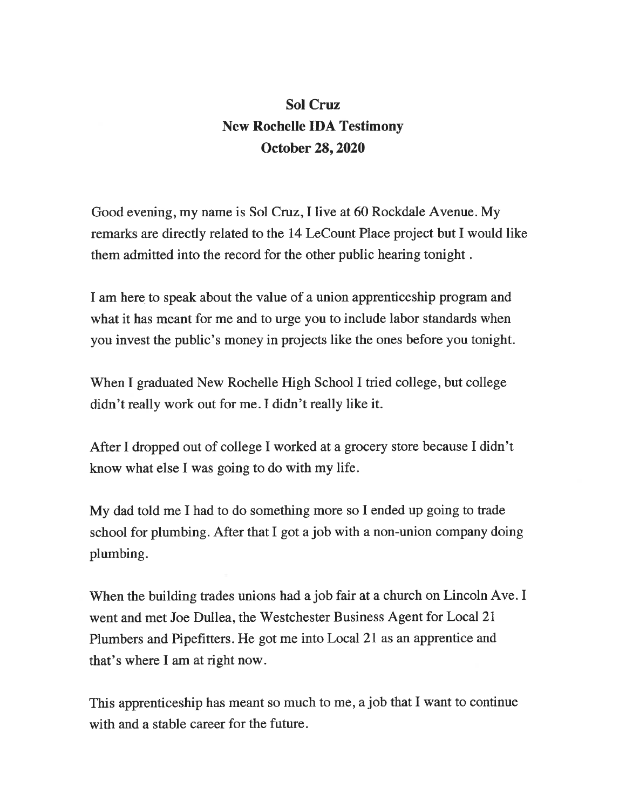# Sol Cruz New Rochelle IDA Testimony October 28, 2020

Good evening, my name is Sol Cruz, I live at 60 Rockdale Avenue. My remarks are directly related to the 14 LeCount Place project but I would like them admitted into the record for the other public hearing tonight.

I am here to speak about the value of a union apprenticeship program and what it has meant for me and to urge you to include labor standards when you invest the public's money in projects like the ones before you tonight.

When I graduated New Rochelle High School I tried college, but college didn't really work out for me. I didn't really like it.

After I dropped out of college I worked at a grocery store because I didn't know what else I was going to do with my life.

My dad told me I had to do something more so I ended up going to trade school for plumbing. After that I got a job with a non-union company doing plumbing.

When the building trades unions had a job fair at a church on Lincoln Ave. I went and met Joe Dullea, the Westchester Business Agent for Local 21 Plumbers and Pipefitters. He got me into Local 21 as an apprentice and that's where I am at right now.

This apprenticeship has meant so much to me, a job that I want to continue with and a stable career for the future.